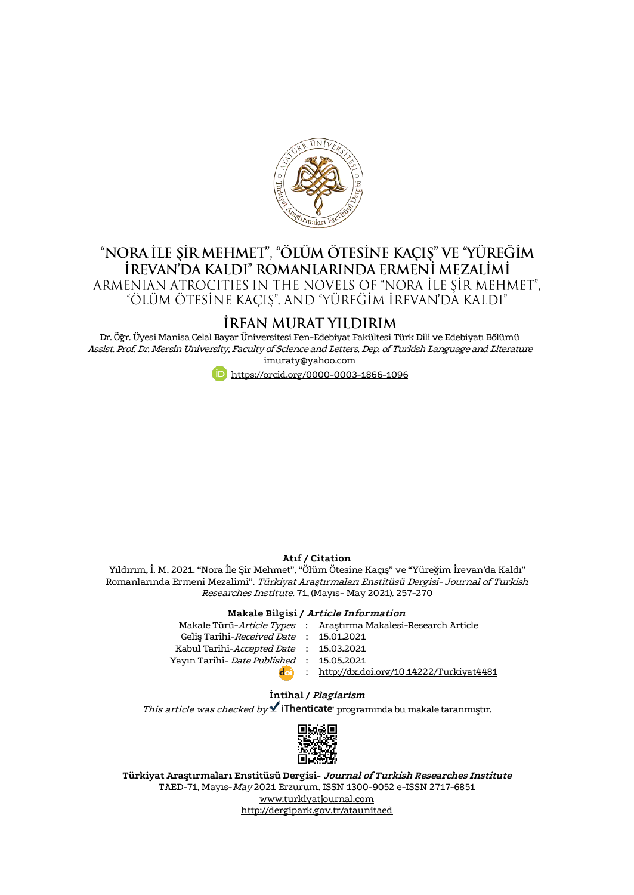

# "NORA İLE ŞİR MEHMET", "ÖLÜM ÖTESİNE KAÇIŞ" VE "YÜREĞİM IREVANDA KALDI" ROMANLARINDA ERMENI MEZALIMI ARMENIAN ATROCITIES IN THE NOVELS OF "NORA İLE SİR MEHMET",

"ölüm ötesine kacıs", and "yüreğim irevan'da kaldı"

# IRFAN MURAT YILDIRIM

Dr. Öğr. Üyesi Manisa Celal Bayar Üniversitesi Fen-Edebiyat Fakültesi Türk Dili ve Edebiyatı Bölümü Assist. Prof. Dr. Mersin University, Faculty of Science and Letters, Dep. of Turkish Language and Literature [imuraty@yahoo.com](mailto:imuraty@yahoo.com)



### **Atıf / Citation**

Yıldırım, İ. M. 2021. "Nora İle Şir Mehmet", "Ölüm Ötesine Kaçış" ve "Yüreğim İrevan'da Kaldı" Romanlarında Ermeni Mezalimi". Türkiyat Araştırmaları Enstitüsü Dergisi- Journal of Turkish Researches Institute. 71, (Mayıs- May 2021). 257-270

#### **Makale Bilgisi / Article Information**

|                                          | Makale Türü-Article Types : Araştırma Makalesi-Research Article |
|------------------------------------------|-----------------------------------------------------------------|
| Gelis Tarihi-Received Date : 15.01.2021  |                                                                 |
| Kabul Tarihi-Accepted Date : 15.03.2021  |                                                                 |
| Yayın Tarihi- Date Published: 15.05.2021 |                                                                 |
| dal)                                     | : http:/ <u>/dx.doi.org/10.14222/Turkiyat4481</u>               |
|                                          |                                                                 |

## **İntihal / Plagiarism**

This article was checked by  $\blacktriangle$  iThenticate programinda bu makale taranmıştır.



**Türkiyat Araştırmaları Enstitüsü Dergisi- Journal of Turkish Researches Institute** TAED-71, Mayıs-May 2021 Erzurum. ISSN 1300-9052 e-ISSN 2717-6851 [www.turkiyatjournal.com](http://www.turkiyatjournal.com/) <http://dergipark.gov.tr/ataunitaed>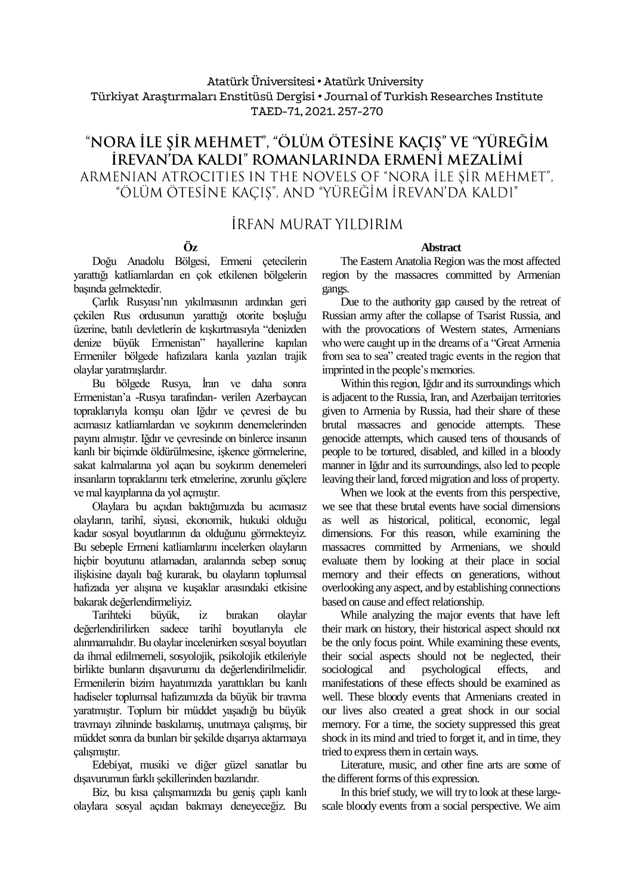# Atatürk Üniversitesi• Atatürk University Türkiyat Araştırmaları Enstitüsü Dergisi • Journal of Turkish Researches Institute TAED-71, 2021.257-270

# "NORA İLE ŞİR MEHMET", "ÖLÜM ÖTESİNE KAÇIŞ" VE "YÜREĞİM İREVAN'DA KALDI" ROMANLARINDA ERMENİ MEZALİMİ ARMENIAN ATROCITIES IN THE NOVELS OF "NORA ILE SIR MEHMET". "Ölüm ötesine kaçıs", and "yüreğim irevan'da kaldı"

# İRFAN MURAT YILDIRIM

## **Öz**

Doğu Anadolu Bölgesi, Ermeni çetecilerin yarattığı katliamlardan en çok etkilenen bölgelerin başında gelmektedir.

Çarlık Rusyası'nın yıkılmasının ardından geri çekilen Rus ordusunun yarattığı otorite boşluğu üzerine, batılı devletlerin de kışkırtmasıyla "denizden denize büyük Ermenistan" hayallerine kapılan Ermeniler bölgede hafızalara kanla yazılan trajik olaylar yaratmışlardır.

Bu bölgede Rusya, İran ve daha sonra Ermenistan'a -Rusya tarafından- verilen Azerbaycan topraklarıyla komşu olan Iğdır ve çevresi de bu acımasız katliamlardan ve soykırım denemelerinden payını almıştır. Iğdır ve çevresinde on binlerce insanın kanlı bir biçimde öldürülmesine, işkence görmelerine, sakat kalmalarına yol açan bu soykırım denemeleri insanların topraklarını terk etmelerine, zorunlu göçlere ve mal kayıplarına da yol açmıştır.

Olaylara bu açıdan baktığımızda bu acımasız olayların, tarihî, siyasi, ekonomik, hukuki olduğu kadar sosyal boyutlarının da olduğunu görmekteyiz. Bu sebeple Ermeni katliamlarını incelerken olayların hiçbir boyutunu atlamadan, aralarında sebep sonuç ilişkisine dayalı bağ kurarak, bu olayların toplumsal hafızada yer alışına ve kuşaklar arasındaki etkisine bakarak değerlendirmeliyiz.

Tarihteki büyük, iz bırakan olaylar değerlendirilirken sadece tarihî boyutlarıyla ele alınmamalıdır. Bu olaylar incelenirken sosyal boyutları da ihmal edilmemeli, sosyolojik, psikolojik etkileriyle birlikte bunların dışavurumu da değerlendirilmelidir. Ermenilerin bizim hayatımızda yarattıkları bu kanlı hadiseler toplumsal hafızamızda da büyük bir travma yaratmıştır. Toplum bir müddet yaşadığı bu büyük travmayı zihninde baskılamış, unutmaya çalışmış, bir müddet sonra da bunları bir şekilde dışarıya aktarmaya çalışmıştır.

Edebiyat, musiki ve diğer güzel sanatlar bu dışavurumun farklı şekillerinden bazılarıdır.

Biz, bu kısa çalışmamızda bu geniş çaplı kanlı olaylara sosyal açıdan bakmayı deneyeceğiz. Bu

#### **Abstract**

The Eastern Anatolia Region was the most affected region by the massacres committed by Armenian gangs.

Due to the authority gap caused by the retreat of Russian army after the collapse of Tsarist Russia, and with the provocations of Western states, Armenians who were caught up in the dreams of a "Great Armenia from sea to sea" created tragic events in the region that imprinted in the people's memories.

Within this region, Iğdır and its surroundings which is adjacent to the Russia, Iran, and Azerbaijan territories given to Armenia by Russia, had their share of these brutal massacres and genocide attempts. These genocide attempts, which caused tens of thousands of people to be tortured, disabled, and killed in a bloody manner in Iğdır and its surroundings, also led to people leaving their land, forced migration and loss of property.

When we look at the events from this perspective, we see that these brutal events have social dimensions as well as historical, political, economic, legal dimensions. For this reason, while examining the massacres committed by Armenians, we should evaluate them by looking at their place in social memory and their effects on generations, without overlooking any aspect, and by establishing connections based on cause and effect relationship.

While analyzing the major events that have left their mark on history, their historical aspect should not be the only focus point. While examining these events, their social aspects should not be neglected, their sociological and psychological effects, and manifestations of these effects should be examined as well. These bloody events that Armenians created in our lives also created a great shock in our social memory. For a time, the society suppressed this great shock in its mind and tried to forget it, and in time, they tried to express them in certain ways.

Literature, music, and other fine arts are some of the different forms of this expression.

In this brief study, we will try to look at these largescale bloody events from a social perspective. We aim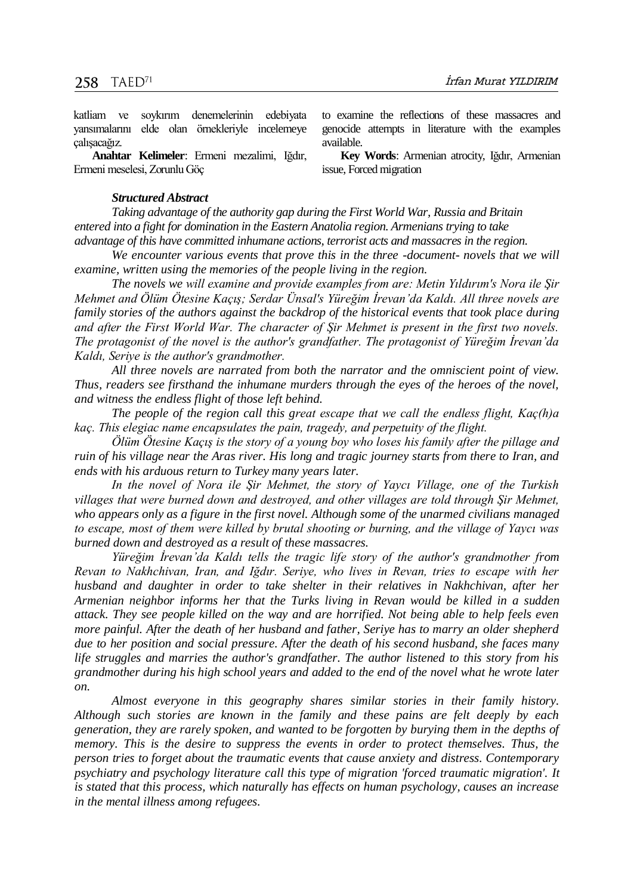katliam ve soykırım denemelerinin edebiyata yansımalarını elde olan örnekleriyle incelemeye çalışacağız.

**Anahtar Kelimeler**: Ermeni mezalimi, Iğdır, Ermeni meselesi, Zorunlu Göç

### *Structured Abstract*

*Taking advantage of the authority gap during the First World War, Russia and Britain entered into a fight for domination in the Eastern Anatolia region. Armenians trying to take advantage of this have committed inhumane actions, terrorist acts and massacres in the region.*

*We encounter various events that prove this in the three -document- novels that we will examine, written using the memories of the people living in the region.*

*The novels we will examine and provide examples from are: Metin Yıldırım's Nora ile Şir Mehmet and Ölüm Ötesine Kaçış; Serdar Ünsal's Yüreğim İrevan'da Kaldı. All three novels are family stories of the authors against the backdrop of the historical events that took place during and after the First World War. The character of Şir Mehmet is present in the first two novels. The protagonist of the novel is the author's grandfather. The protagonist of Yüreğim İrevan'da Kaldı, Seriye is the author's grandmother.*

*All three novels are narrated from both the narrator and the omniscient point of view. Thus, readers see firsthand the inhumane murders through the eyes of the heroes of the novel, and witness the endless flight of those left behind.*

*The people of the region call this great escape that we call the endless flight, Kaç(h)a kaç. This elegiac name encapsulates the pain, tragedy, and perpetuity of the flight.*

*Ölüm Ötesine Kaçış is the story of a young boy who loses his family after the pillage and ruin of his village near the Aras river. His long and tragic journey starts from there to Iran, and ends with his arduous return to Turkey many years later.* 

*In the novel of Nora ile Şir Mehmet, the story of Yaycı Village, one of the Turkish villages that were burned down and destroyed, and other villages are told through Şir Mehmet, who appears only as a figure in the first novel. Although some of the unarmed civilians managed to escape, most of them were killed by brutal shooting or burning, and the village of Yaycı was burned down and destroyed as a result of these massacres.*

*Yüreğim İrevan'da Kaldı tells the tragic life story of the author's grandmother from Revan to Nakhchivan, Iran, and Iğdır. Seriye, who lives in Revan, tries to escape with her husband and daughter in order to take shelter in their relatives in Nakhchivan, after her Armenian neighbor informs her that the Turks living in Revan would be killed in a sudden attack. They see people killed on the way and are horrified. Not being able to help feels even more painful. After the death of her husband and father, Seriye has to marry an older shepherd due to her position and social pressure. After the death of his second husband, she faces many life struggles and marries the author's grandfather. The author listened to this story from his grandmother during his high school years and added to the end of the novel what he wrote later on.*

*Almost everyone in this geography shares similar stories in their family history. Although such stories are known in the family and these pains are felt deeply by each generation, they are rarely spoken, and wanted to be forgotten by burying them in the depths of memory. This is the desire to suppress the events in order to protect themselves. Thus, the person tries to forget about the traumatic events that cause anxiety and distress. Contemporary psychiatry and psychology literature call this type of migration 'forced traumatic migration'. It is stated that this process, which naturally has effects on human psychology, causes an increase in the mental illness among refugees.*

genocide attempts in literature with the examples available.

to examine the reflections of these massacres and

**Key Words**: Armenian atrocity, Iğdır, Armenian issue, Forced migration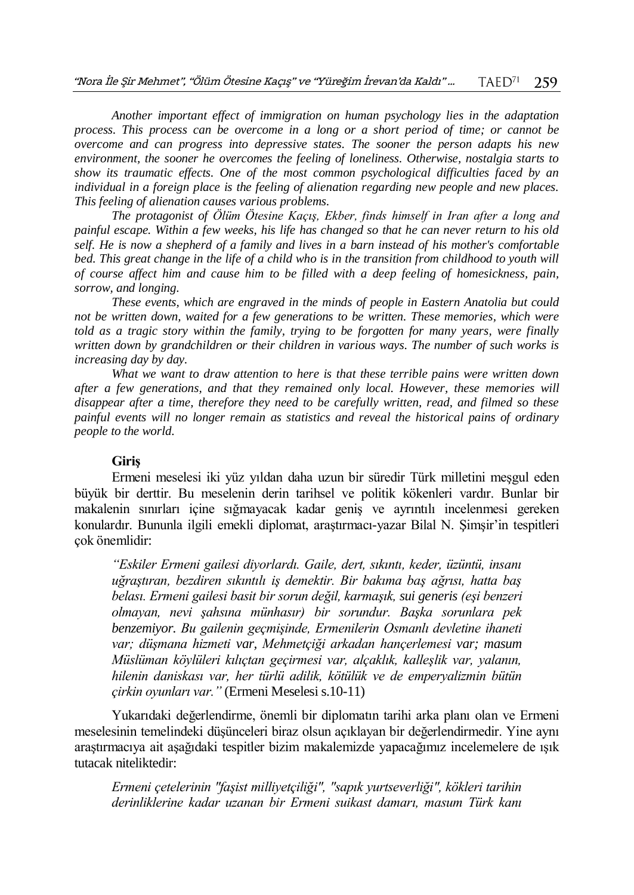*Another important effect of immigration on human psychology lies in the adaptation process. This process can be overcome in a long or a short period of time; or cannot be overcome and can progress into depressive states. The sooner the person adapts his new environment, the sooner he overcomes the feeling of loneliness. Otherwise, nostalgia starts to show its traumatic effects. One of the most common psychological difficulties faced by an individual in a foreign place is the feeling of alienation regarding new people and new places. This feeling of alienation causes various problems.*

*The protagonist of Ölüm Ötesine Kaçış, Ekber, finds himself in Iran after a long and painful escape. Within a few weeks, his life has changed so that he can never return to his old self. He is now a shepherd of a family and lives in a barn instead of his mother's comfortable*  bed. This great change in the life of a child who is in the transition from childhood to youth will *of course affect him and cause him to be filled with a deep feeling of homesickness, pain, sorrow, and longing.* 

*These events, which are engraved in the minds of people in Eastern Anatolia but could not be written down, waited for a few generations to be written. These memories, which were told as a tragic story within the family, trying to be forgotten for many years, were finally written down by grandchildren or their children in various ways. The number of such works is increasing day by day.*

*What we want to draw attention to here is that these terrible pains were written down after a few generations, and that they remained only local. However, these memories will disappear after a time, therefore they need to be carefully written, read, and filmed so these painful events will no longer remain as statistics and reveal the historical pains of ordinary people to the world.*

### **Giriş**

Ermeni meselesi iki yüz yıldan daha uzun bir süredir Türk milletini meşgul eden büyük bir derttir. Bu meselenin derin tarihsel ve politik kökenleri vardır. Bunlar bir makalenin sınırları içine sığmayacak kadar geniş ve ayrıntılı incelenmesi gereken konulardır. Bununla ilgili emekli diplomat, araştırmacı-yazar Bilal N. Şimşir'in tespitleri çok önemlidir:

*"Eskiler Ermeni gailesi diyorlardı. Gaile, dert, sıkıntı, keder, üzüntü, insanı uğraştıran, bezdiren sıkıntılı iş demektir. Bir bakıma baş ağrısı, hatta baş belası. Ermeni gailesi basit bir sorun değil, karmaşık, sui generis (eşi benzeri olmayan, nevi şahsına münhasır) bir sorundur. Başka sorunlara pek benzemiyor. Bu gailenin geçmişinde, Ermenilerin Osmanlı devletine ihaneti var; düşmana hizmeti var, Mehmetçiği arkadan hançerlemesi var; masum Müslüman köylüleri kılıçtan geçirmesi var, alçaklık, kalleşlik var, yalanın, hilenin daniskası var, her türlü adilik, kötülük ve de emperyalizmin bütün çirkin oyunları var."* (Ermeni Meselesi s.10-11)

Yukarıdaki değerlendirme, önemli bir diplomatın tarihi arka planı olan ve Ermeni meselesinin temelindeki düşünceleri biraz olsun açıklayan bir değerlendirmedir. Yine aynı araştırmacıya ait aşağıdaki tespitler bizim makalemizde yapacağımız incelemelere de ışık tutacak niteliktedir:

*Ermeni çetelerinin "faşist milliyetçiliği", "sapık yurtseverliği", kökleri tarihin derinliklerine kadar uzanan bir Ermeni suikast damarı, masum Türk kanı*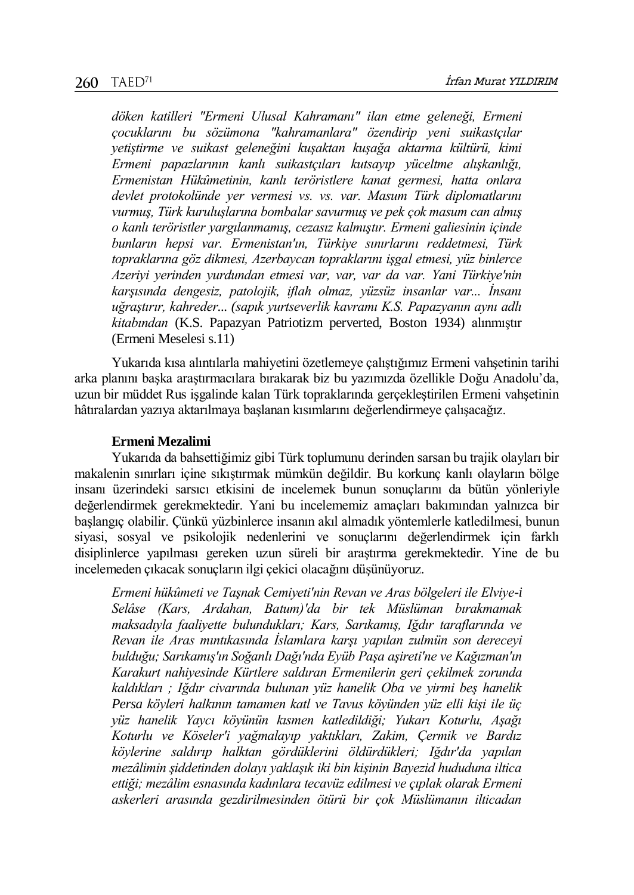*döken katilleri "Ermeni Ulusal Kahramanı" ilan etme geleneği, Ermeni çocuklarını bu sözümona "kahramanlara" özendirip yeni suikastçılar yetiştirme ve suikast geleneğini kuşaktan kuşağa aktarma kültürü, kimi Ermeni papazlarının kanlı suikastçıları kutsayıp yüceltme alışkanlığı, Ermenistan Hükûmetinin, kanlı teröristlere kanat germesi, hatta onlara devlet protokolünde yer vermesi vs. vs. var. Masum Türk diplomatlarını vurmuş, Türk kuruluşlarına bombalar savurmuş ve pek çok masum can almış o kanlı teröristler yargılanmamış, cezasız kalmıştır. Ermeni galiesinin içinde bunların hepsi var. Ermenistan'ın, Türkiye sınırlarını reddetmesi, Türk topraklarına göz dikmesi, Azerbaycan topraklarını işgal etmesi, yüz binlerce Azeriyi yerinden yurdundan etmesi var, var, var da var. Yani Türkiye'nin karşısında dengesiz, patolojik, iflah olmaz, yüzsüz insanlar var... İnsanı uğraştırır, kahreder... (sapık yurtseverlik kavramı K.S. Papazyanın aynı adlı kitabından* (K.S. Papazyan Patriotizm perverted, Boston 1934) alınmıştır (Ermeni Meselesi s.11)

Yukarıda kısa alıntılarla mahiyetini özetlemeye çalıştığımız Ermeni vahşetinin tarihi arka planını başka araştırmacılara bırakarak biz bu yazımızda özellikle Doğu Anadolu'da, uzun bir müddet Rus işgalinde kalan Türk topraklarında gerçekleştirilen Ermeni vahşetinin hâtıralardan yazıya aktarılmaya başlanan kısımlarını değerlendirmeye çalışacağız.

### **Ermeni Mezalimi**

Yukarıda da bahsettiğimiz gibi Türk toplumunu derinden sarsan bu trajik olayları bir makalenin sınırları içine sıkıştırmak mümkün değildir. Bu korkunç kanlı olayların bölge insanı üzerindeki sarsıcı etkisini de incelemek bunun sonuçlarını da bütün yönleriyle değerlendirmek gerekmektedir. Yani bu incelememiz amaçları bakımından yalnızca bir başlangıç olabilir. Çünkü yüzbinlerce insanın akıl almadık yöntemlerle katledilmesi, bunun siyasi, sosyal ve psikolojik nedenlerini ve sonuçlarını değerlendirmek için farklı disiplinlerce yapılması gereken uzun süreli bir araştırma gerekmektedir. Yine de bu incelemeden çıkacak sonuçların ilgi çekici olacağını düşünüyoruz.

*Ermeni hükûmeti ve Taşnak Cemiyeti'nin Revan ve Aras bölgeleri ile Elviye-i Selâse (Kars, Ardahan, Batum)'da bir tek Müslüman bırakmamak maksadıyla faaliyette bulundukları; Kars, Sarıkamış, Iğdır taraflarında ve Revan ile Aras mıntıkasında İslamlara karşı yapılan zulmün son dereceyi bulduğu; Sarıkamış'ın Soğanlı Dağı'nda Eyüb Paşa aşireti'ne ve Kağızman'ın Karakurt nahiyesinde Kürtlere saldıran Ermenilerin geri çekilmek zorunda kaldıkları ; Iğdır civarında bulunan yüz hanelik Oba ve yirmi beş hanelik Persa köyleri halkının tamamen katl ve Tavus köyünden yüz elli kişi ile üç yüz hanelik Yaycı köyünün kısmen katledildiği; Yukarı Koturlu, Aşağı Koturlu ve Köseler'i yağmalayıp yaktıkları, Zakim, Çermik ve Bardız köylerine saldırıp halktan gördüklerini öldürdükleri; Iğdır'da yapılan mezâlimin şiddetinden dolayı yaklaşık iki bin kişinin Bayezid hududuna iltica ettiği; mezâlim esnasında kadınlara tecavüz edilmesi ve çıplak olarak Ermeni askerleri arasında gezdirilmesinden ötürü bir çok Müslümanın ilticadan*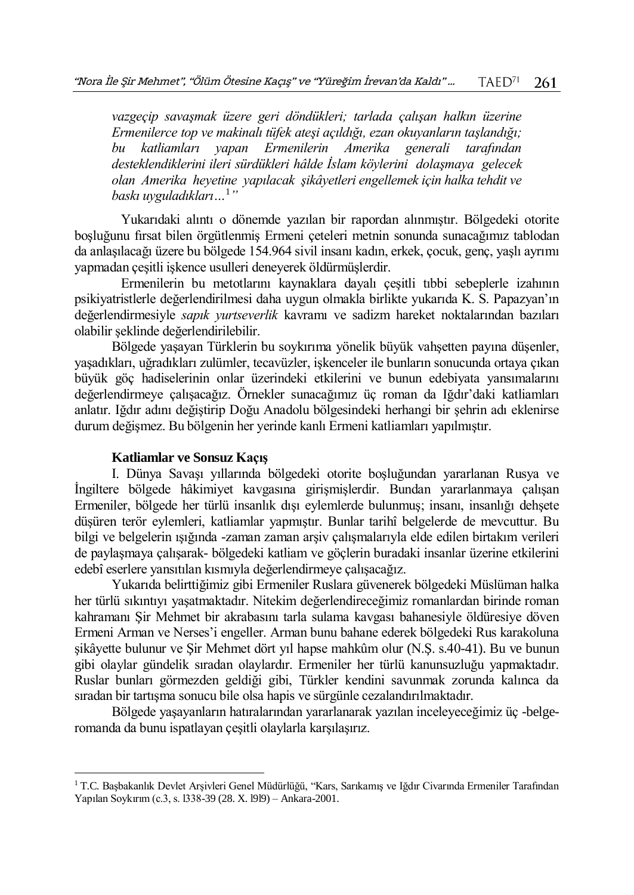*vazgeçip savaşmak üzere geri döndükleri; tarlada çalışan halkın üzerine Ermenilerce top ve makinalı tüfek ateşi açıldığı, ezan okuyanların taşlandığı; bu katliamları yapan Ermenilerin Amerika generali tarafından desteklendiklerini ileri sürdükleri hâlde İslam köylerini dolaşmaya gelecek olan Amerika heyetine yapılacak şikâyetleri engellemek için halka tehdit ve baskı uyguladıkları…*<sup>1</sup>*"*

Yukarıdaki alıntı o dönemde yazılan bir rapordan alınmıştır. Bölgedeki otorite boşluğunu fırsat bilen örgütlenmiş Ermeni çeteleri metnin sonunda sunacağımız tablodan da anlaşılacağı üzere bu bölgede 154.964 sivil insanı kadın, erkek, çocuk, genç, yaşlı ayrımı yapmadan çeşitli işkence usulleri deneyerek öldürmüşlerdir.

Ermenilerin bu metotlarını kaynaklara dayalı çeşitli tıbbi sebeplerle izahının psikiyatristlerle değerlendirilmesi daha uygun olmakla birlikte yukarıda K. S. Papazyan'ın değerlendirmesiyle *sapık yurtseverlik* kavramı ve sadizm hareket noktalarından bazıları olabilir şeklinde değerlendirilebilir.

Bölgede yaşayan Türklerin bu soykırıma yönelik büyük vahşetten payına düşenler, yaşadıkları, uğradıkları zulümler, tecavüzler, işkenceler ile bunların sonucunda ortaya çıkan büyük göç hadiselerinin onlar üzerindeki etkilerini ve bunun edebiyata yansımalarını değerlendirmeye çalışacağız. Örnekler sunacağımız üç roman da Iğdır'daki katliamları anlatır. Iğdır adını değiştirip Doğu Anadolu bölgesindeki herhangi bir şehrin adı eklenirse durum değişmez. Bu bölgenin her yerinde kanlı Ermeni katliamları yapılmıştır.

# **Katliamlar ve Sonsuz Kaçış**

 $\overline{a}$ 

I. Dünya Savaşı yıllarında bölgedeki otorite boşluğundan yararlanan Rusya ve İngiltere bölgede hâkimiyet kavgasına girişmişlerdir. Bundan yararlanmaya çalışan Ermeniler, bölgede her türlü insanlık dışı eylemlerde bulunmuş; insanı, insanlığı dehşete düşüren terör eylemleri, katliamlar yapmıştır. Bunlar tarihî belgelerde de mevcuttur. Bu bilgi ve belgelerin ışığında -zaman zaman arşiv çalışmalarıyla elde edilen birtakım verileri de paylaşmaya çalışarak- bölgedeki katliam ve göçlerin buradaki insanlar üzerine etkilerini edebî eserlere yansıtılan kısmıyla değerlendirmeye çalışacağız.

Yukarıda belirttiğimiz gibi Ermeniler Ruslara güvenerek bölgedeki Müslüman halka her türlü sıkıntıyı yaşatmaktadır. Nitekim değerlendireceğimiz romanlardan birinde roman kahramanı Şir Mehmet bir akrabasını tarla sulama kavgası bahanesiyle öldüresiye döven Ermeni Arman ve Nerses'i engeller. Arman bunu bahane ederek bölgedeki Rus karakoluna şikâyette bulunur ve Şir Mehmet dört yıl hapse mahkûm olur (N.Ş. s.40-41). Bu ve bunun gibi olaylar gündelik sıradan olaylardır. Ermeniler her türlü kanunsuzluğu yapmaktadır. Ruslar bunları görmezden geldiği gibi, Türkler kendini savunmak zorunda kalınca da sıradan bir tartışma sonucu bile olsa hapis ve sürgünle cezalandırılmaktadır.

Bölgede yaşayanların hatıralarından yararlanarak yazılan inceleyeceğimiz üç -belgeromanda da bunu ispatlayan çeşitli olaylarla karşılaşırız.

<sup>1</sup> T.C. Başbakanlık Devlet Arşivleri Genel Müdürlüğü, "Kars, Sarıkamış ve Iğdır Civarında Ermeniler Tarafından Yapılan Soykırım (c.3, s. l338-39 (28. X. l9l9) – Ankara-2001.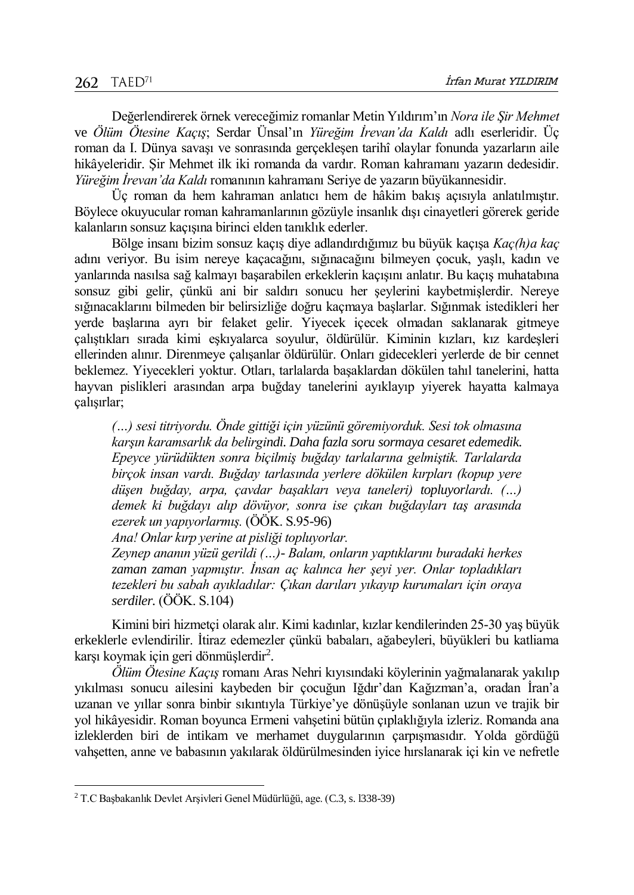Değerlendirerek örnek vereceğimiz romanlar Metin Yıldırım'ın *Nora ile Şir Mehmet* ve *Ölüm Ötesine Kaçış*; Serdar Ünsal'ın *Yüreğim İrevan'da Kaldı* adlı eserleridir. Üç roman da I. Dünya savaşı ve sonrasında gerçekleşen tarihî olaylar fonunda yazarların aile hikâyeleridir. Şir Mehmet ilk iki romanda da vardır. Roman kahramanı yazarın dedesidir. *Yüreğim İrevan'da Kaldı* romanının kahramanı Seriye de yazarın büyükannesidir.

Üç roman da hem kahraman anlatıcı hem de hâkim bakış açısıyla anlatılmıştır. Böylece okuyucular roman kahramanlarının gözüyle insanlık dışı cinayetleri görerek geride kalanların sonsuz kaçışına birinci elden tanıklık ederler.

Bölge insanı bizim sonsuz kaçış diye adlandırdığımız bu büyük kaçışa *Kaç(h)a kaç* adını veriyor. Bu isim nereye kaçacağını, sığınacağını bilmeyen çocuk, yaşlı, kadın ve yanlarında nasılsa sağ kalmayı başarabilen erkeklerin kaçışını anlatır. Bu kaçış muhatabına sonsuz gibi gelir, çünkü ani bir saldırı sonucu her şeylerini kaybetmişlerdir. Nereye sığınacaklarını bilmeden bir belirsizliğe doğru kaçmaya başlarlar. Sığınmak istedikleri her yerde başlarına ayrı bir felaket gelir. Yiyecek içecek olmadan saklanarak gitmeye çalıştıkları sırada kimi eşkıyalarca soyulur, öldürülür. Kiminin kızları, kız kardeşleri ellerinden alınır. Direnmeye çalışanlar öldürülür. Onları gidecekleri yerlerde de bir cennet beklemez. Yiyecekleri yoktur. Otları, tarlalarda başaklardan dökülen tahıl tanelerini, hatta hayvan pislikleri arasından arpa buğday tanelerini ayıklayıp yiyerek hayatta kalmaya çalışırlar;

*(…) sesi titriyordu. Önde gittiği için yüzünü göremiyorduk. Sesi tok olmasına karşın karamsarlık da belirgindi. Daha fazla soru sormaya cesaret edemedik. Epeyce yürüdükten sonra biçilmiş buğday tarlalarına gelmiştik. Tarlalarda birçok insan vardı. Buğday tarlasında yerlere dökülen kırpları (kopup yere düşen buğday, arpa, çavdar başakları veya taneleri) topluyorlardı. (…) demek ki buğdayı alıp dövüyor, sonra ise çıkan buğdayları taş arasında ezerek un yapıyorlarmış.* (ÖÖK. S.95-96)

*Ana! Onlar kırp yerine at pisliği topluyorlar.*

*Zeynep ananın yüzü gerildi (…)- Balam, onların yaptıklarını buradaki herkes zaman zaman yapmıştır. İnsan aç kalınca her şeyi yer. Onlar topladıkları tezekleri bu sabah ayıkladılar: Çıkan darıları yıkayıp kurumaları için oraya serdiler.* (ÖÖK. S.104)

Kimini biri hizmetçi olarak alır. Kimi kadınlar, kızlar kendilerinden 25-30 yaş büyük erkeklerle evlendirilir. İtiraz edemezler çünkü babaları, ağabeyleri, büyükleri bu katliama karşı koymak için geri dönmüşlerdir<sup>2</sup>.

*Ölüm Ötesine Kaçış* romanı Aras Nehri kıyısındaki köylerinin yağmalanarak yakılıp yıkılması sonucu ailesini kaybeden bir çocuğun Iğdır'dan Kağızman'a, oradan İran'a uzanan ve yıllar sonra binbir sıkıntıyla Türkiye'ye dönüşüyle sonlanan uzun ve trajik bir yol hikâyesidir. Roman boyunca Ermeni vahşetini bütün çıplaklığıyla izleriz. Romanda ana izleklerden biri de intikam ve merhamet duygularının çarpışmasıdır. Yolda gördüğü vahşetten, anne ve babasının yakılarak öldürülmesinden iyice hırslanarak içi kin ve nefretle

 $\overline{a}$ 

<sup>2</sup> T.C Başbakanlık Devlet Arşivleri Genel Müdürlüğü, age. (C.3, s. l338-39)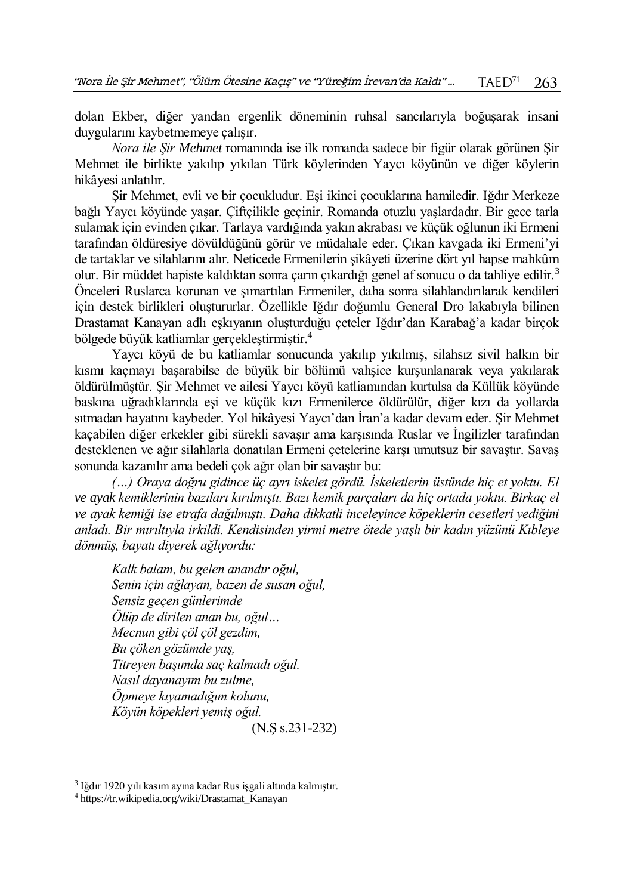dolan Ekber, diğer yandan ergenlik döneminin ruhsal sancılarıyla boğuşarak insani duygularını kaybetmemeye çalışır.

*Nora ile Şir Mehmet* romanında ise ilk romanda sadece bir figür olarak görünen Şir Mehmet ile birlikte yakılıp yıkılan Türk köylerinden Yaycı köyünün ve diğer köylerin hikâyesi anlatılır.

Şir Mehmet, evli ve bir çocukludur. Eşi ikinci çocuklarına hamiledir. Iğdır Merkeze bağlı Yaycı köyünde yaşar. Çiftçilikle geçinir. Romanda otuzlu yaşlardadır. Bir gece tarla sulamak için evinden çıkar. Tarlaya vardığında yakın akrabası ve küçük oğlunun iki Ermeni tarafından öldüresiye dövüldüğünü görür ve müdahale eder. Çıkan kavgada iki Ermeni'yi de tartaklar ve silahlarını alır. Neticede Ermenilerin şikâyeti üzerine dört yıl hapse mahkûm olur. Bir müddet hapiste kaldıktan sonra çarın çıkardığı genel af sonucu o da tahliye edilir.<sup>3</sup> Önceleri Ruslarca korunan ve şımartılan Ermeniler, daha sonra silahlandırılarak kendileri için destek birlikleri oluştururlar. Özellikle Iğdır doğumlu General Dro lakabıyla bilinen Drastamat Kanayan adlı eşkıyanın oluşturduğu çeteler Iğdır'dan Karabağ'a kadar birçok bölgede büyük katliamlar gerçekleştirmiştir.<sup>4</sup>

Yaycı köyü de bu katliamlar sonucunda yakılıp yıkılmış, silahsız sivil halkın bir kısmı kaçmayı başarabilse de büyük bir bölümü vahşice kurşunlanarak veya yakılarak öldürülmüştür. Şir Mehmet ve ailesi Yaycı köyü katliamından kurtulsa da Küllük köyünde baskına uğradıklarında eşi ve küçük kızı Ermenilerce öldürülür, diğer kızı da yollarda sıtmadan hayatını kaybeder. Yol hikâyesi Yaycı'dan İran'a kadar devam eder. Şir Mehmet kaçabilen diğer erkekler gibi sürekli savaşır ama karşısında Ruslar ve İngilizler tarafından desteklenen ve ağır silahlarla donatılan Ermeni çetelerine karşı umutsuz bir savaştır. Savaş sonunda kazanılır ama bedeli çok ağır olan bir savaştır bu:

*(…) Oraya doğru gidince üç ayrı iskelet gördü. İskeletlerin üstünde hiç et yoktu. El ve ayak kemiklerinin bazıları kırılmıştı. Bazı kemik parçaları da hiç ortada yoktu. Birkaç el ve ayak kemiği ise etrafa dağılmıştı. Daha dikkatli inceleyince köpeklerin cesetleri yediğini anladı. Bir mırıltıyla irkildi. Kendisinden yirmi metre ötede yaşlı bir kadın yüzünü Kıbleye dönmüş, bayatı diyerek ağlıyordu:*

*Kalk balam, bu gelen anandır oğul, Senin için ağlayan, bazen de susan oğul, Sensiz geçen günlerimde Ölüp de dirilen anan bu, oğul… Mecnun gibi çöl çöl gezdim, Bu çöken gözümde yaş, Titreyen başımda saç kalmadı oğul. Nasıl dayanayım bu zulme, Öpmeye kıyamadığım kolunu, Köyün köpekleri yemiş oğul.* (N.Ş s.231-232)

 $\overline{a}$ 

<sup>3</sup> Iğdır 1920 yılı kasım ayına kadar Rus işgali altında kalmıştır.

<sup>4</sup> https://tr.wikipedia.org/wiki/Drastamat\_Kanayan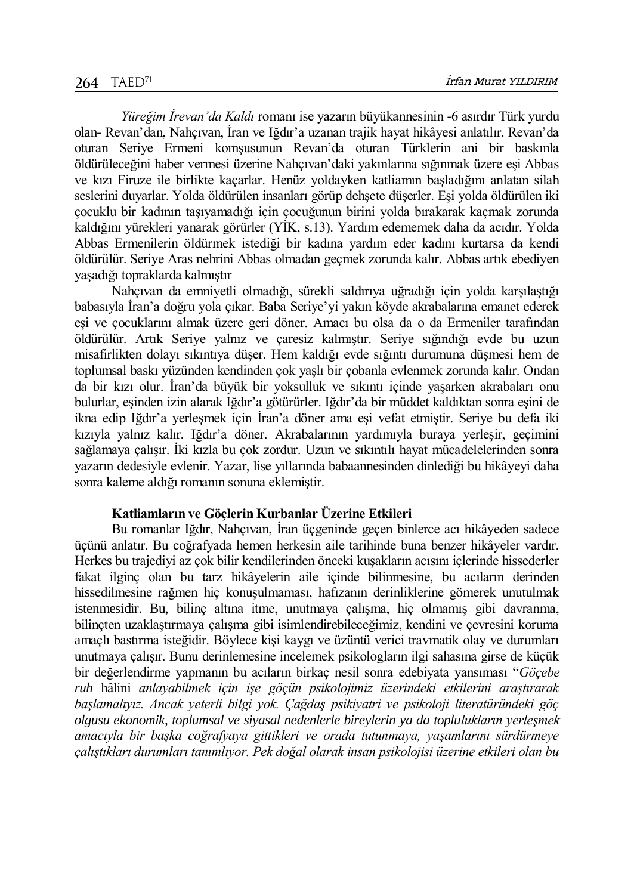*Yüreğim İrevan'da Kaldı* romanı ise yazarın büyükannesinin -6 asırdır Türk yurdu olan- Revan'dan, Nahçıvan, İran ve Iğdır'a uzanan trajik hayat hikâyesi anlatılır. Revan'da oturan Seriye Ermeni komşusunun Revan'da oturan Türklerin ani bir baskınla öldürüleceğini haber vermesi üzerine Nahçıvan'daki yakınlarına sığınmak üzere eşi Abbas ve kızı Firuze ile birlikte kaçarlar. Henüz yoldayken katliamın başladığını anlatan silah seslerini duyarlar. Yolda öldürülen insanları görüp dehşete düşerler. Eşi yolda öldürülen iki çocuklu bir kadının taşıyamadığı için çocuğunun birini yolda bırakarak kaçmak zorunda kaldığını yürekleri yanarak görürler (YİK, s.13). Yardım edememek daha da acıdır. Yolda Abbas Ermenilerin öldürmek istediği bir kadına yardım eder kadını kurtarsa da kendi öldürülür. Seriye Aras nehrini Abbas olmadan geçmek zorunda kalır. Abbas artık ebediyen yaşadığı topraklarda kalmıştır

Nahçıvan da emniyetli olmadığı, sürekli saldırıya uğradığı için yolda karşılaştığı babasıyla İran'a doğru yola çıkar. Baba Seriye'yi yakın köyde akrabalarına emanet ederek eşi ve çocuklarını almak üzere geri döner. Amacı bu olsa da o da Ermeniler tarafından öldürülür. Artık Seriye yalnız ve çaresiz kalmıştır. Seriye sığındığı evde bu uzun misafirlikten dolayı sıkıntıya düşer. Hem kaldığı evde sığıntı durumuna düşmesi hem de toplumsal baskı yüzünden kendinden çok yaşlı bir çobanla evlenmek zorunda kalır. Ondan da bir kızı olur. İran'da büyük bir yoksulluk ve sıkıntı içinde yaşarken akrabaları onu bulurlar, eşinden izin alarak Iğdır'a götürürler. Iğdır'da bir müddet kaldıktan sonra eşini de ikna edip Iğdır'a yerleşmek için İran'a döner ama eşi vefat etmiştir. Seriye bu defa iki kızıyla yalnız kalır. Iğdır'a döner. Akrabalarının yardımıyla buraya yerleşir, geçimini sağlamaya çalışır. İki kızla bu çok zordur. Uzun ve sıkıntılı hayat mücadelelerinden sonra yazarın dedesiyle evlenir. Yazar, lise yıllarında babaannesinden dinlediği bu hikâyeyi daha sonra kaleme aldığı romanın sonuna eklemiştir.

# **Katliamların ve Göçlerin Kurbanlar Üzerine Etkileri**

Bu romanlar Iğdır, Nahçıvan, İran üçgeninde geçen binlerce acı hikâyeden sadece üçünü anlatır. Bu coğrafyada hemen herkesin aile tarihinde buna benzer hikâyeler vardır. Herkes bu trajediyi az çok bilir kendilerinden önceki kuşakların acısını içlerinde hissederler fakat ilginç olan bu tarz hikâyelerin aile içinde bilinmesine, bu acıların derinden hissedilmesine rağmen hiç konuşulmaması, hafızanın derinliklerine gömerek unutulmak istenmesidir. Bu, bilinç altına itme, unutmaya çalışma, hiç olmamış gibi davranma, bilinçten uzaklaştırmaya çalışma gibi isimlendirebileceğimiz, kendini ve çevresini koruma amaçlı bastırma isteğidir. Böylece kişi kaygı ve üzüntü verici travmatik olay ve durumları unutmaya çalışır. Bunu derinlemesine incelemek psikologların ilgi sahasına girse de küçük bir değerlendirme yapmanın bu acıların birkaç nesil sonra edebiyata yansıması "*Göçebe ruh* hâlini *anlayabilmek için işe göçün psikolojimiz üzerindeki etkilerini araştırarak başlamalıyız. Ancak yeterli bilgi yok. Çağdaş psikiyatri ve psikoloji literatüründeki göç olgusu ekonomik, toplumsal ve siyasal nedenlerle bireylerin ya da toplulukların yerleşmek amacıyla bir başka coğrafyaya gittikleri ve orada tutunmaya, yaşamlarını sürdürmeye çalıştıkları durumları tanımlıyor. Pek doğal olarak insan psikolojisi üzerine etkileri olan bu*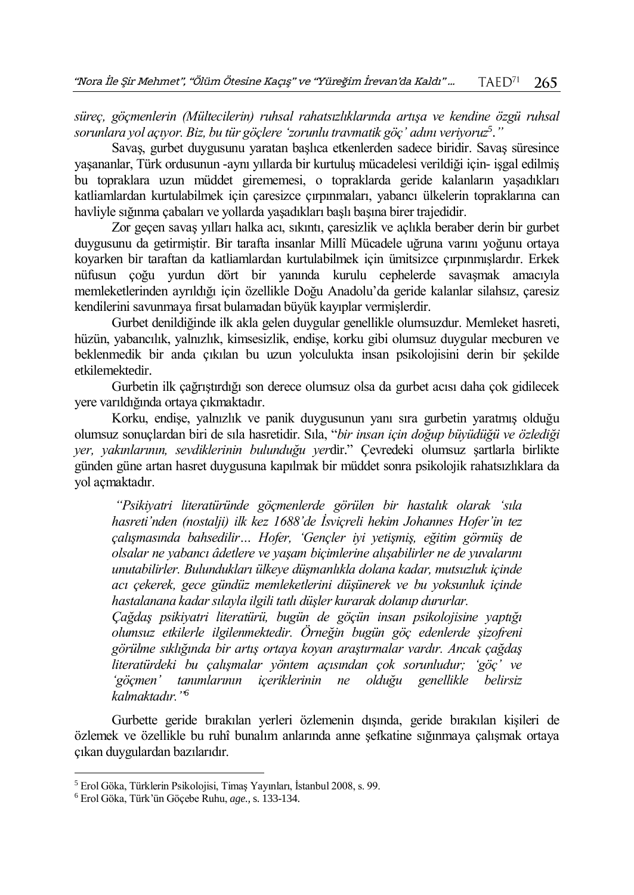*süreç, göçmenlerin (Mültecilerin) ruhsal rahatsızlıklarında artışa ve kendine özgü ruhsal sorunlara yol açıyor. Biz, bu tür göçlere 'zorunlu travmatik göç' adını veriyoruz<sup>5</sup> ."*

Savaş, gurbet duygusunu yaratan başlıca etkenlerden sadece biridir. Savaş süresince yaşananlar, Türk ordusunun -aynı yıllarda bir kurtuluş mücadelesi verildiği için- işgal edilmiş bu topraklara uzun müddet girememesi, o topraklarda geride kalanların yaşadıkları katliamlardan kurtulabilmek için çaresizce çırpınmaları, yabancı ülkelerin topraklarına can havliyle sığınma çabaları ve yollarda yaşadıkları başlı başına birer trajedidir.

Zor geçen savaş yılları halka acı, sıkıntı, çaresizlik ve açlıkla beraber derin bir gurbet duygusunu da getirmiştir. Bir tarafta insanlar Millî Mücadele uğruna varını yoğunu ortaya koyarken bir taraftan da katliamlardan kurtulabilmek için ümitsizce çırpınmışlardır. Erkek nüfusun çoğu yurdun dört bir yanında kurulu cephelerde savaşmak amacıyla memleketlerinden ayrıldığı için özellikle Doğu Anadolu'da geride kalanlar silahsız, çaresiz kendilerini savunmaya fırsat bulamadan büyük kayıplar vermişlerdir.

Gurbet denildiğinde ilk akla gelen duygular genellikle olumsuzdur. Memleket hasreti, hüzün, yabancılık, yalnızlık, kimsesizlik, endişe, korku gibi olumsuz duygular mecburen ve beklenmedik bir anda çıkılan bu uzun yolculukta insan psikolojisini derin bir şekilde etkilemektedir.

Gurbetin ilk çağrıştırdığı son derece olumsuz olsa da gurbet acısı daha çok gidilecek yere varıldığında ortaya çıkmaktadır.

Korku, endişe, yalnızlık ve panik duygusunun yanı sıra gurbetin yaratmış olduğu olumsuz sonuçlardan biri de sıla hasretidir. Sıla, "*bir insan için doğup büyüdüğü ve özlediği yer, yakınlarının, sevdiklerinin bulunduğu yer*dir." Çevredeki olumsuz şartlarla birlikte günden güne artan hasret duygusuna kapılmak bir müddet sonra psikolojik rahatsızlıklara da yol açmaktadır.

*"Psikiyatri literatüründe göçmenlerde görülen bir hastalık olarak 'sıla hasreti'nden (nostalji) ilk kez 1688'de İsviçreli hekim Johannes Hofer'in tez çalışmasında bahsedilir… Hofer, 'Gençler iyi yetişmiş, eğitim görmüş de olsalar ne yabancı âdetlere ve yaşam biçimlerine alışabilirler ne de yuvalarını unutabilirler. Bulundukları ülkeye düşmanlıkla dolana kadar, mutsuzluk içinde acı çekerek, gece gündüz memleketlerini düşünerek ve bu yoksunluk içinde hastalanana kadar sılayla ilgili tatlı düşler kurarak dolanıp dururlar.*

*Çağdaş psikiyatri literatürü, bugün de göçün insan psikolojisine yaptığı olumsuz etkilerle ilgilenmektedir. Örneğin bugün göç edenlerde şizofreni görülme sıklığında bir artış ortaya koyan araştırmalar vardır. Ancak çağdaş literatürdeki bu çalışmalar yöntem açısından çok sorunludur; 'göç' ve 'göçmen' tanımlarının içeriklerinin ne olduğu genellikle belirsiz kalmaktadır."<sup>6</sup>*

Gurbette geride bırakılan yerleri özlemenin dışında, geride bırakılan kişileri de özlemek ve özellikle bu ruhî bunalım anlarında anne şefkatine sığınmaya çalışmak ortaya çıkan duygulardan bazılarıdır.

 $\overline{a}$ 

<sup>5</sup> Erol Göka, Türklerin Psikolojisi, Timaş Yayınları, İstanbul 2008, s. 99.

<sup>6</sup> Erol Göka, Türk'ün Göçebe Ruhu, *age.,* s. 133-134.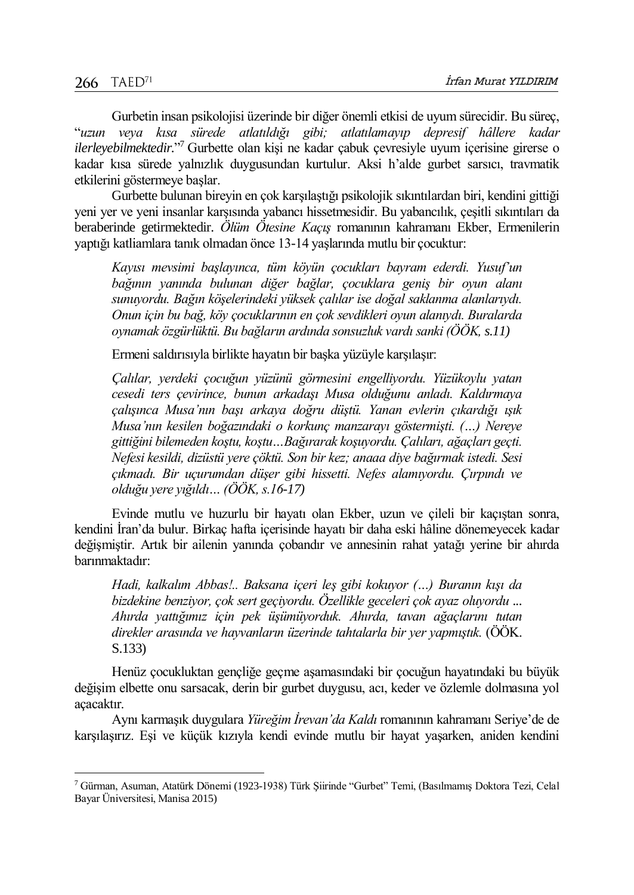$\overline{a}$ 

Gurbetin insan psikolojisi üzerinde bir diğer önemli etkisi de uyum sürecidir. Bu süreç, "*uzun veya kısa sürede atlatıldığı gibi; atlatılamayıp depresif hâllere kadar ilerleyebilmektedir.*" <sup>7</sup> Gurbette olan kişi ne kadar çabuk çevresiyle uyum içerisine girerse o kadar kısa sürede yalnızlık duygusundan kurtulur. Aksi h'alde gurbet sarsıcı, travmatik etkilerini göstermeye başlar.

Gurbette bulunan bireyin en çok karşılaştığı psikolojik sıkıntılardan biri, kendini gittiği yeni yer ve yeni insanlar karşısında yabancı hissetmesidir. Bu yabancılık, çeşitli sıkıntıları da beraberinde getirmektedir. *Ölüm Ötesine Kaçış* romanının kahramanı Ekber, Ermenilerin yaptığı katliamlara tanık olmadan önce 13-14 yaşlarında mutlu bir çocuktur:

*Kayısı mevsimi başlayınca, tüm köyün çocukları bayram ederdi. Yusuf'un bağının yanında bulunan diğer bağlar, çocuklara geniş bir oyun alanı sunuyordu. Bağın köşelerindeki yüksek çalılar ise doğal saklanma alanlarıydı. Onun için bu bağ, köy çocuklarının en çok sevdikleri oyun alanıydı. Buralarda oynamak özgürlüktü. Bu bağların ardında sonsuzluk vardı sanki (ÖÖK, s.11)*

Ermeni saldırısıyla birlikte hayatın bir başka yüzüyle karşılaşır:

*Çalılar, yerdeki çocuğun yüzünü görmesini engelliyordu. Yüzükoylu yatan cesedi ters çevirince, bunun arkadaşı Musa olduğunu anladı. Kaldırmaya çalışınca Musa'nın başı arkaya doğru düştü. Yanan evlerin çıkardığı ışık Musa'nın kesilen boğazındaki o korkunç manzarayı göstermişti. (…) Nereye gittiğini bilemeden koştu, koştu…Bağırarak koşuyordu. Çalıları, ağaçları geçti. Nefesi kesildi, dizüstü yere çöktü. Son bir kez; anaaa diye bağırmak istedi. Sesi çıkmadı. Bir uçurumdan düşer gibi hissetti. Nefes alamıyordu. Çırpındı ve olduğu yere yığıldı… (ÖÖK, s.16-17)*

Evinde mutlu ve huzurlu bir hayatı olan Ekber, uzun ve çileli bir kaçıştan sonra, kendini İran'da bulur. Birkaç hafta içerisinde hayatı bir daha eski hâline dönemeyecek kadar değişmiştir. Artık bir ailenin yanında çobandır ve annesinin rahat yatağı yerine bir ahırda barınmaktadır:

*Hadi, kalkalım Abbas!.. Baksana içeri leş gibi kokuyor (…) Buranın kışı da bizdekine benziyor, çok sert geçiyordu. Özellikle geceleri çok ayaz oluyordu ... Ahırda yattığımız için pek üşümüyorduk. Ahırda, tavan ağaçlarını tutan direkler arasında ve hayvanların üzerinde tahtalarla bir yer yapmıştık.* (ÖÖK. S.133)

Henüz çocukluktan gençliğe geçme aşamasındaki bir çocuğun hayatındaki bu büyük değişim elbette onu sarsacak, derin bir gurbet duygusu, acı, keder ve özlemle dolmasına yol açacaktır.

Aynı karmaşık duygulara *Yüreğim İrevan'da Kaldı* romanının kahramanı Seriye'de de karşılaşırız. Eşi ve küçük kızıyla kendi evinde mutlu bir hayat yaşarken, aniden kendini

<sup>7</sup> Gürman, Asuman, Atatürk Dönemi (1923-1938) Türk Şiirinde "Gurbet" Temi, (Basılmamış Doktora Tezi, Celal Bayar Üniversitesi, Manisa 2015)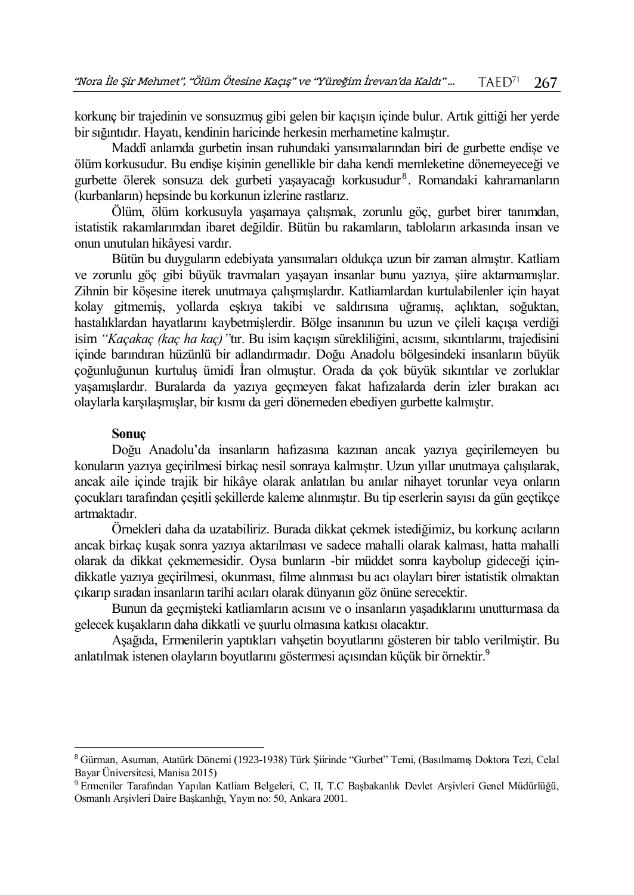korkunç bir trajedinin ve sonsuzmuş gibi gelen bir kaçışın içinde bulur. Artık gittiği her yerde bir sığıntıdır. Hayatı, kendinin haricinde herkesin merhametine kalmıştır.

Maddî anlamda gurbetin insan ruhundaki yansımalarından biri de gurbette endişe ve ölüm korkusudur. Bu endişe kişinin genellikle bir daha kendi memleketine dönemeyeceği ve gurbette ölerek sonsuza dek gurbeti yaşayacağı korkusudur<sup>8</sup>. Romandaki kahramanların (kurbanların) hepsinde bu korkunun izlerine rastlarız.

Ölüm, ölüm korkusuyla yaşamaya çalışmak, zorunlu göç, gurbet birer tanımdan, istatistik rakamlarımdan ibaret değildir. Bütün bu rakamların, tabloların arkasında insan ve onun unutulan hikâyesi vardır.

Bütün bu duyguların edebiyata yansımaları oldukça uzun bir zaman almıştır. Katliam ve zorunlu göç gibi büyük travmaları yaşayan insanlar bunu yazıya, şiire aktarmamışlar. Zihnin bir köşesine iterek unutmaya çalışmışlardır. Katliamlardan kurtulabilenler için hayat kolay gitmemiş, yollarda eşkıya takibi ve saldırısına uğramış, açlıktan, soğuktan, hastalıklardan hayatlarını kaybetmişlerdir. Bölge insanının bu uzun ve çileli kaçışa verdiği isim *"Kaçakaç (kaç ha kaç)"*tır. Bu isim kaçışın sürekliliğini, acısını, sıkıntılarını, trajedisini içinde barındıran hüzünlü bir adlandırmadır. Doğu Anadolu bölgesindeki insanların büyük çoğunluğunun kurtuluş ümidi İran olmuştur. Orada da çok büyük sıkıntılar ve zorluklar yaşamışlardır. Buralarda da yazıya geçmeyen fakat hafızalarda derin izler bırakan acı olaylarla karşılaşmışlar, bir kısmı da geri dönemeden ebediyen gurbette kalmıştır.

# **Sonuç**

 $\overline{a}$ 

Doğu Anadolu'da insanların hafızasına kazınan ancak yazıya geçirilemeyen bu konuların yazıya geçirilmesi birkaç nesil sonraya kalmıştır. Uzun yıllar unutmaya çalışılarak, ancak aile içinde trajik bir hikâye olarak anlatılan bu anılar nihayet torunlar veya onların çocukları tarafından çeşitli şekillerde kaleme alınmıştır. Bu tip eserlerin sayısı da gün geçtikçe artmaktadır.

Örnekleri daha da uzatabiliriz. Burada dikkat çekmek istediğimiz, bu korkunç acıların ancak birkaç kuşak sonra yazıya aktarılması ve sadece mahalli olarak kalması, hatta mahalli olarak da dikkat çekmemesidir. Oysa bunların -bir müddet sonra kaybolup gideceği içindikkatle yazıya geçirilmesi, okunması, filme alınması bu acı olayları birer istatistik olmaktan çıkarıp sıradan insanların tarihi acıları olarak dünyanın göz önüne serecektir.

Bunun da geçmişteki katliamların acısını ve o insanların yaşadıklarını unutturmasa da gelecek kuşakların daha dikkatli ve şuurlu olmasına katkısı olacaktır.

Aşağıda, Ermenilerin yaptıkları vahşetin boyutlarını gösteren bir tablo verilmiştir. Bu anlatılmak istenen olayların boyutlarını göstermesi açısından küçük bir örnektir.<sup>9</sup>

<sup>8</sup> Gürman, Asuman, Atatürk Dönemi (1923-1938) Türk Şiirinde "Gurbet" Temi, (Basılmamış Doktora Tezi, Celal Bayar Üniversitesi, Manisa 2015)

<sup>9</sup> Ermeniler Tarafından Yapılan Katliam Belgeleri, C, II, T.C Başbakanlık Devlet Arşivleri Genel Müdürlüğü, Osmanlı Arşivleri Daire Başkanlığı, Yayın no: 50, Ankara 2001.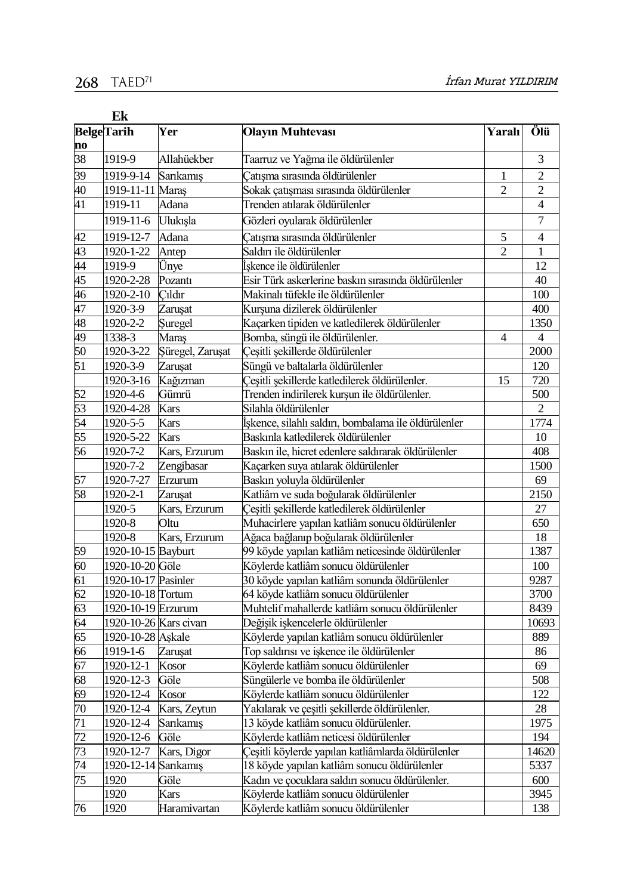|                 | Ek                    |                  |                                                      |                |                  |  |  |
|-----------------|-----------------------|------------------|------------------------------------------------------|----------------|------------------|--|--|
|                 | <b>BelgeTarih</b>     | Yer              | <b>Olayın Muhtevası</b>                              | Yaralı         | Ölü              |  |  |
| no              |                       |                  |                                                      |                |                  |  |  |
| 38              | 1919-9                | Allahüekber      | Taarruz ve Yağma ile öldürülenler                    |                | 3                |  |  |
| 39              | 1919-9-14             | Sarıkamış        | Catışma sırasında öldürülenler                       | 1              | $\overline{c}$   |  |  |
| 40              | 1919-11-11 Maraş      |                  | Sokak çatışması sırasında öldürülenler               | $\overline{c}$ | $\overline{c}$   |  |  |
| 41              | 1919-11               | Adana            | Trenden atılarak öldürülenler                        |                | $\overline{4}$   |  |  |
|                 | 1919-11-6             | Ulukışla         | Gözleri oyularak öldürülenler                        |                | $\boldsymbol{7}$ |  |  |
| $\overline{42}$ | 1919-12-7             | Adana            | Çatışma sırasında öldürülenler                       | 5              | $\overline{4}$   |  |  |
| 43              | 1920-1-22             | Antep            | Saldırı ile öldürülenler                             | $\overline{2}$ | 1                |  |  |
| 44              | 1919-9                | Unye             | İşkence ile öldürülenler                             |                | 12               |  |  |
| 45              | 1920-2-28             | Pozanti          | Esir Türk askerlerine baskın sırasında öldürülenler  |                | 40               |  |  |
| 46              | 1920-2-10             | Cıldır           | Makinalı tüfekle ile öldürülenler                    |                | 100              |  |  |
| 47              | 1920-3-9              | Zaruşat          | Kurşuna dizilerek öldürülenler                       |                | 400              |  |  |
| 48              | 1920-2-2              | Suregel          | Kaçarken tipiden ve katledilerek öldürülenler        |                | 1350             |  |  |
| 49              | 1338-3                | Maraş            | Bomba, süngü ile öldürülenler.                       | 4              | $\overline{4}$   |  |  |
| $\overline{50}$ | 1920-3-22             | Şüregel, Zaruşat | Çeşitli şekillerde öldürülenler                      |                | 2000             |  |  |
| 51              | 1920-3-9              | Zaruşat          | Süngü ve baltalarla öldürülenler                     |                | 120              |  |  |
|                 | 1920-3-16             | Kağızman         | Çeşitli şekillerde katledilerek öldürülenler.        | 15             | 720              |  |  |
| 52              | 1920-4-6              | Gümrü            | Trenden indirilerek kurşun ile öldürülenler.         |                | 500              |  |  |
| $rac{53}{54}$   | 1920-4-28             | <b>Kars</b>      | Silahla öldürülenler                                 |                | 2                |  |  |
|                 | 1920-5-5              | Kars             | İşkence, silahlı saldırı, bombalama ile öldürülenler |                | 1774             |  |  |
| 55              | 1920-5-22             | Kars             | Baskınla katledilerek öldürülenler                   |                | 10               |  |  |
| $\overline{56}$ | 1920-7-2              | Kars, Erzurum    | Baskın ile, hicret edenlere saldırarak öldürülenler  |                | 408              |  |  |
|                 | 1920-7-2              | Zengibasar       | Kaçarken suya atılarak öldürülenler                  |                | 1500             |  |  |
| 57              | 1920-7-27             | Erzurum          | Baskın yoluyla öldürülenler                          |                | 69               |  |  |
| 58              | 1920-2-1              | Zaruşat          | Katliâm ve suda boğularak öldürülenler               |                | 2150             |  |  |
|                 | 1920-5                | Kars, Erzurum    | Çeşitli şekillerde katledilerek öldürülenler         |                | 27               |  |  |
|                 | 1920-8                | Oltu             | Muhacirlere yapılan katliâm sonucu öldürülenler      |                | 650              |  |  |
|                 | 1920-8                | Kars, Erzurum    | Ağaca bağlanıp boğularak öldürülenler                |                | 18               |  |  |
| 59              | 1920-10-15 Bayburt    |                  | 99 köyde yapılan katliâm neticesinde öldürülenler    |                | 1387             |  |  |
| 60              | 1920-10-20 Göle       |                  | Köylerde katliâm sonucu öldürülenler                 |                | 100              |  |  |
| 61              | 1920-10-17 Pasinler   |                  | 30 köyde yapılan katliâm sonunda öldürülenler        |                | 9287             |  |  |
| $\frac{62}{63}$ | 1920-10-18 Tortum     |                  | 64 köyde katliâm sonucu öldürülenler                 |                | 3700             |  |  |
|                 | 1920-10-19 Erzurum    |                  | Muhtelif mahallerde katliâm sonucu öldürülenler      |                | 8439             |  |  |
| 64              | 1920-10-26 Kars civan |                  | Değişik işkencelerle öldürülenler                    |                | 10693            |  |  |
| 65              | 1920-10-28 Aşkale     |                  | Köylerde yapılan katliâm sonucu öldürülenler         |                | 889              |  |  |
| $\frac{66}{67}$ | 1919-1-6              | Zaruşat          | Top saldırısı ve işkence ile öldürülenler            |                | 86               |  |  |
|                 | 1920-12-1             | Kosor            | Köylerde katliâm sonucu öldürülenler                 |                | $\overline{69}$  |  |  |
| 68              | 1920-12-3 Göle        |                  | Süngülerle ve bomba ile öldürülenler                 |                | 508              |  |  |
| 69              | 1920-12-4 Kosor       |                  | Köylerde katliâm sonucu öldürülenler                 |                | 122              |  |  |
| 70<br>71        | 1920-12-4             | Kars, Zeytun     | Yakılarak ve çeşitli şekillerde öldürülenler.        |                | 28               |  |  |
|                 | 1920-12-4             | Sarıkamış        | 13 köyde katliâm sonucu öldürülenler.                |                | 1975             |  |  |
| $\overline{72}$ | 1920-12-6             | Göle             | Köylerde katliâm neticesi öldürülenler               |                | 194              |  |  |
| $\overline{73}$ | 1920-12-7             | Kars, Digor      | Çeşitli köylerde yapılan katliâmlarda öldürülenler   |                | 14620            |  |  |
| 74              | 1920-12-14 Sarıkamış  |                  | 18 köyde yapılan katliâm sonucu öldürülenler         |                | 5337             |  |  |
| 75              | 1920                  | Göle             | Kadın ve çocuklara saldırı sonucu öldürülenler.      |                | 600              |  |  |
|                 | 1920                  | Kars             | Köylerde katliâm sonucu öldürülenler                 |                | 3945             |  |  |
| $\overline{76}$ | 1920                  | Haramivartan     | Köylerde katliâm sonucu öldürülenler                 |                | 138              |  |  |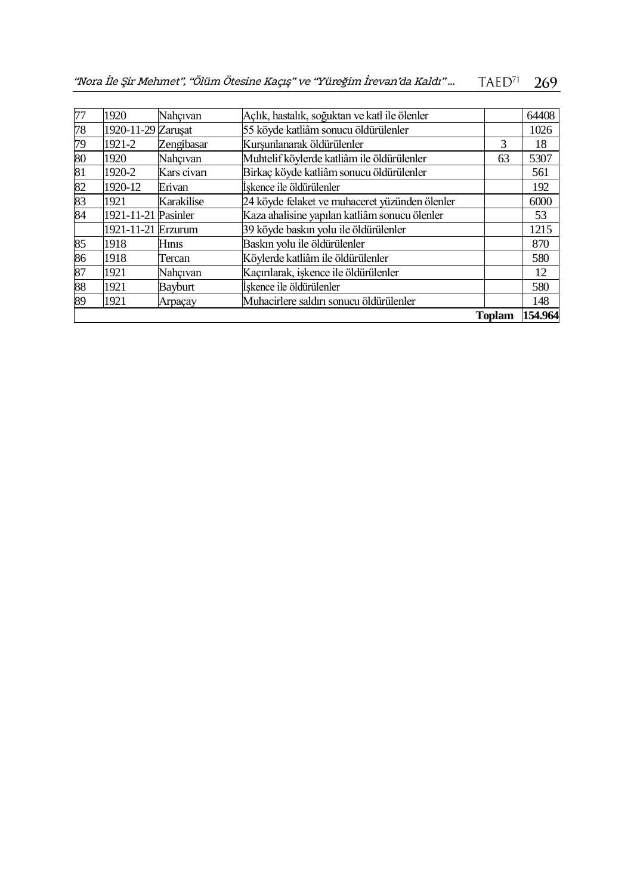| <b>Toplam</b> |                     |             |                                                |    | 154.964 |
|---------------|---------------------|-------------|------------------------------------------------|----|---------|
| 89            | 1921                | Arpacay     | Muhacirlere saldırı sonucu öldürülenler        |    | 148     |
| 88            | 1921                | Bayburt     | İşkence ile öldürülenler                       |    | 580     |
| 87            | 1921                | Nahcıvan    | Kaçırılarak, işkence ile öldürülenler          |    | 12      |
| 86            | 1918                | Tercan      | Köylerde katliâm ile öldürülenler              |    | 580     |
| 85            | 1918                | Hinis       | Baskın yolu ile öldürülenler                   |    | 870     |
|               | 1921-11-21 Erzurum  |             | 39 köyde baskın yolu ile öldürülenler          |    | 1215    |
| 84            | 1921-11-21 Pasinler |             | Kaza ahalisine yapılan katliâm sonucu ölenler  |    | 53      |
| 83            | 1921                | Karakilise  | 24 köyde felaket ve muhaceret yüzünden ölenler |    | 6000    |
| 82            | 1920-12             | Erivan      | İskence ile öldürülenler                       |    | 192     |
| 81            | 1920-2              | Kars civari | Birkaç köyde katliâm sonucu öldürülenler       |    | 561     |
| 80            | 1920                | Nahcıvan    | Muhtelif köylerde katliâm ile öldürülenler     | 63 | 5307    |
| 79            | 1921-2              | Zengibasar  | Kurşunlanarak öldürülenler                     | 3  | 18      |
| 78            | 1920-11-29 Zarusat  |             | 55 köyde katliâm sonucu öldürülenler           |    | 1026    |
| 77            | 1920                | Nahcıvan    | Açlık, hastalık, soğuktan ve katl ile ölenler  |    | 64408   |